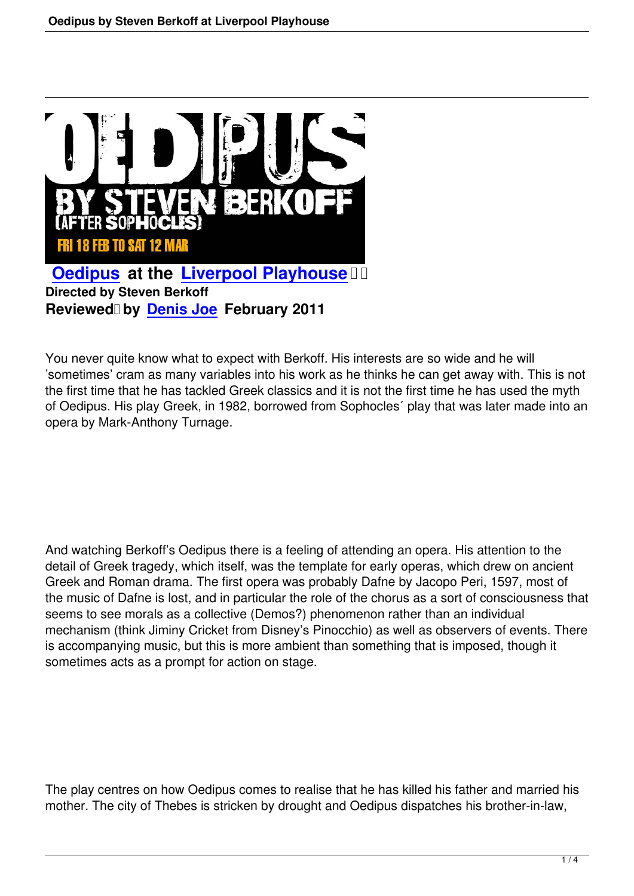

**Directed by Steven Berkoff Reviewed by Denis Joe February 2011** 

You never quite k[now what to e](speakers.html#denis-joe)xpect with Berkoff. His interests are so wide and he will 'sometimes' cram as many variables into his work as he thinks he can get away with. This is not the first time that he has tackled Greek classics and it is not the first time he has used the myth of Oedipus. His play Greek, in 1982, borrowed from Sophocles´ play that was later made into an opera by Mark-Anthony Turnage.

And watching Berkoff's Oedipus there is a feeling of attending an opera. His attention to the detail of Greek tragedy, which itself, was the template for early operas, which drew on ancient Greek and Roman drama. The first opera was probably Dafne by Jacopo Peri, 1597, most of the music of Dafne is lost, and in particular the role of the chorus as a sort of consciousness that seems to see morals as a collective (Demos?) phenomenon rather than an individual mechanism (think Jiminy Cricket from Disney's Pinocchio) as well as observers of events. There is accompanying music, but this is more ambient than something that is imposed, though it sometimes acts as a prompt for action on stage.

The play centres on how Oedipus comes to realise that he has killed his father and married his mother. The city of Thebes is stricken by drought and Oedipus dispatches his brother-in-law,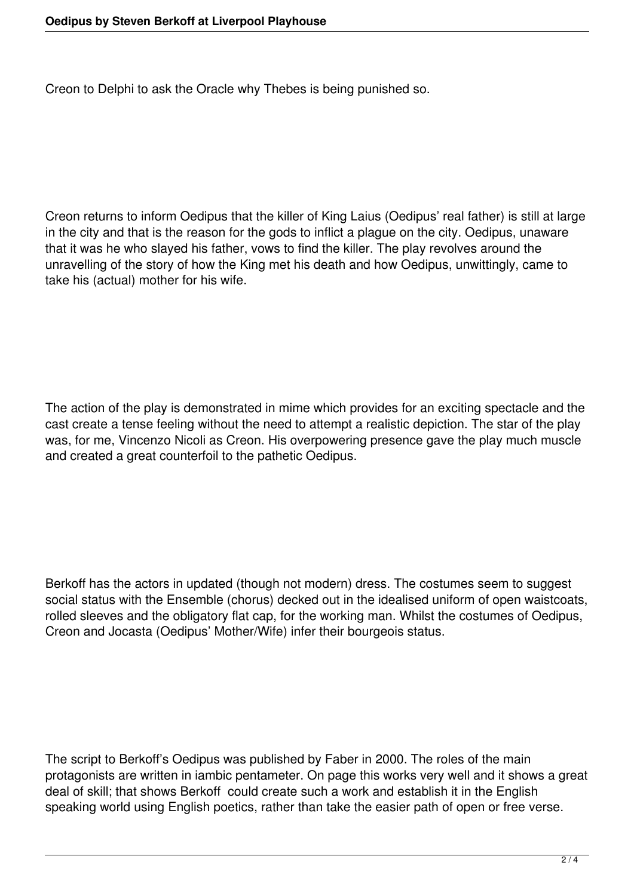Creon to Delphi to ask the Oracle why Thebes is being punished so.

Creon returns to inform Oedipus that the killer of King Laius (Oedipus' real father) is still at large in the city and that is the reason for the gods to inflict a plague on the city. Oedipus, unaware that it was he who slayed his father, vows to find the killer. The play revolves around the unravelling of the story of how the King met his death and how Oedipus, unwittingly, came to take his (actual) mother for his wife.

The action of the play is demonstrated in mime which provides for an exciting spectacle and the cast create a tense feeling without the need to attempt a realistic depiction. The star of the play was, for me, Vincenzo Nicoli as Creon. His overpowering presence gave the play much muscle and created a great counterfoil to the pathetic Oedipus.

Berkoff has the actors in updated (though not modern) dress. The costumes seem to suggest social status with the Ensemble (chorus) decked out in the idealised uniform of open waistcoats, rolled sleeves and the obligatory flat cap, for the working man. Whilst the costumes of Oedipus, Creon and Jocasta (Oedipus' Mother/Wife) infer their bourgeois status.

The script to Berkoff's Oedipus was published by Faber in 2000. The roles of the main protagonists are written in iambic pentameter. On page this works very well and it shows a great deal of skill; that shows Berkoff could create such a work and establish it in the English speaking world using English poetics, rather than take the easier path of open or free verse.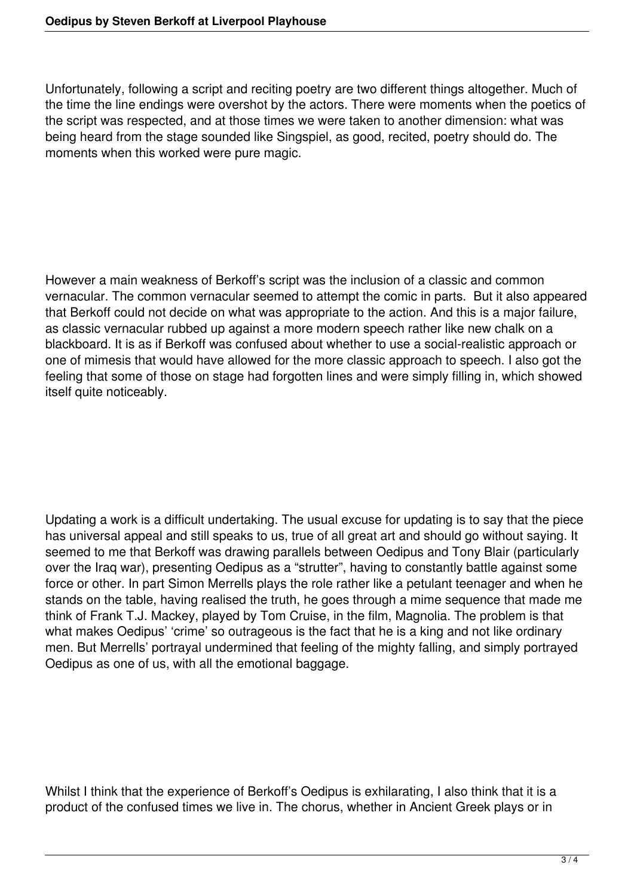Unfortunately, following a script and reciting poetry are two different things altogether. Much of the time the line endings were overshot by the actors. There were moments when the poetics of the script was respected, and at those times we were taken to another dimension: what was being heard from the stage sounded like Singspiel, as good, recited, poetry should do. The moments when this worked were pure magic.

However a main weakness of Berkoff's script was the inclusion of a classic and common vernacular. The common vernacular seemed to attempt the comic in parts. But it also appeared that Berkoff could not decide on what was appropriate to the action. And this is a major failure, as classic vernacular rubbed up against a more modern speech rather like new chalk on a blackboard. It is as if Berkoff was confused about whether to use a social-realistic approach or one of mimesis that would have allowed for the more classic approach to speech. I also got the feeling that some of those on stage had forgotten lines and were simply filling in, which showed itself quite noticeably.

Updating a work is a difficult undertaking. The usual excuse for updating is to say that the piece has universal appeal and still speaks to us, true of all great art and should go without saying. It seemed to me that Berkoff was drawing parallels between Oedipus and Tony Blair (particularly over the Iraq war), presenting Oedipus as a "strutter", having to constantly battle against some force or other. In part Simon Merrells plays the role rather like a petulant teenager and when he stands on the table, having realised the truth, he goes through a mime sequence that made me think of Frank T.J. Mackey, played by Tom Cruise, in the film, Magnolia. The problem is that what makes Oedipus' 'crime' so outrageous is the fact that he is a king and not like ordinary men. But Merrells' portrayal undermined that feeling of the mighty falling, and simply portrayed Oedipus as one of us, with all the emotional baggage.

Whilst I think that the experience of Berkoff's Oedipus is exhilarating, I also think that it is a product of the confused times we live in. The chorus, whether in Ancient Greek plays or in